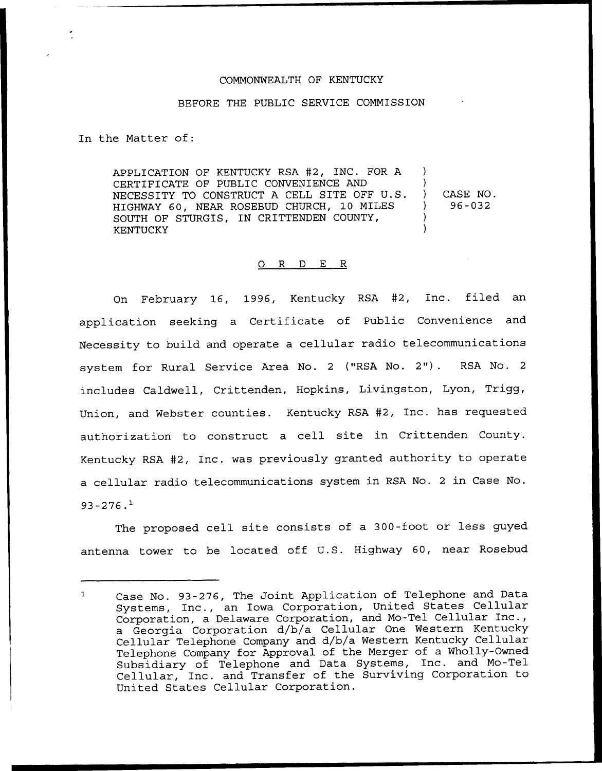## COMMONWEALTH OF KENTUCKY

## BEFORE THE PUBLIC SERVICE COMMISSION

In the Matter of:

APPLICATION OF KENTUCKY RSA #2, INC. FOR A CERTIFICATE OF PUBLIC CONVENIENCE AND NECESSITY TO CONSTRUCT <sup>A</sup> CELL SITE OFF U.S. HIGHWAY 60, NEAR ROSEBUD CHURCH, 10 MILES SOUTH OF STURGIS, IN CRITTENDEN COUNTY, KENTUCKY ) ) ) CASE NO. ) 96-032 ) )

## 0 R <sup>D</sup> E R

On February 16, 1996, Kentucky RSA #2, Inc. filed an application seeking a Certificate of Public Convenience and Necessity to build and operate a cellular radio telecommunications system for Rural Service Area No. <sup>2</sup> ("RSA No. 2"). RSA No. <sup>2</sup> includes Caldwell, Crittenden, Hopkins, Livingston, Lyon, Trigg, Union, and Webster counties. Kentucky RSA 42, Inc. has requested authorization to construct a cell site in Crittenden County. Kentucky RSA 42, Inc. was previously granted authority to operate a cellular radio telecommunications system in RSA No. <sup>2</sup> in Case No.  $93 - 276.$ <sup>1</sup>

The proposed cell site consists of a 300-foot or less guyed antenna tower to be located off U.S. Highway 60, near Rosebud

Case No. 93-276, The Joint Application of Telephone and Data Systems, Inc., an Iowa Corporation, United States Cellular Corporation, <sup>a</sup> Delaware Corporation, and Mo-Tel Cellular Inc., a Georgia Corporation d/b/a Cellular One Western Kentucky Cellular Telephone Company and d/b/a Western Kentucky Cellular Telephone Company for Approval of the Merger of a Wholly-Owned Subsidiary of Telephone and Data Systems, Inc. and Mo-Tel Cellular, Inc. and Transfer of the Surviving Corporation to United States Cellular Corporation.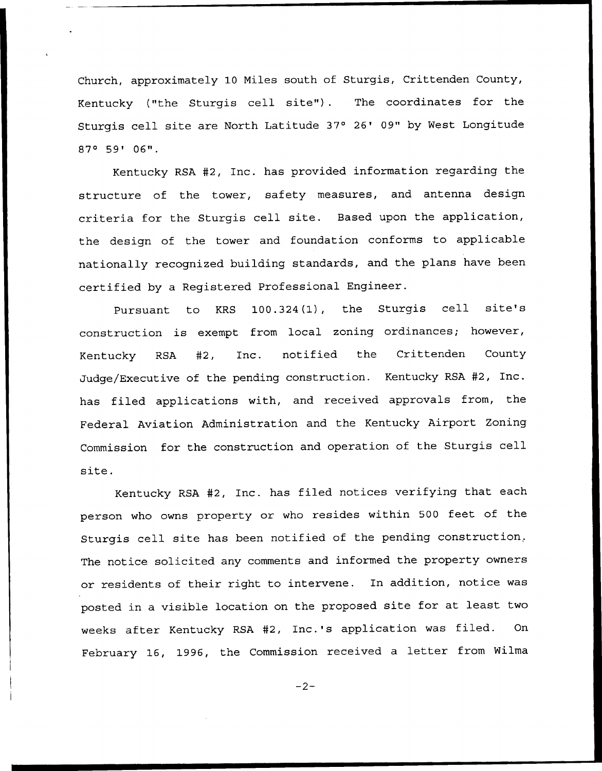Church, approximately 10 Miles south of Sturgis, Crittenden County, Kentucky ("the Sturgis cell site"). The coordinates for the Sturgis cell site are North Latitude 37° 26' 09" by West Longitude 87° 59' 06".

Kentucky RSA #2, Inc. has provided information regarding the structure of the tower, safety measures, and antenna design criteria for the Sturgis cell site. Based upon the application, the design of the tower and foundation conforms to applicable nationally recognized building standards, and the plans have been certified by a Registered Professional Engineer.

Pursuant to KRS 100.324(1), the Sturgis cell site's construction is exempt from local zoning ordinances; however, Kentucky RSA #2, Inc. notified the Crittenden Count Judge/Executive of the pending construction. Kentucky RSA #2, Inc. has filed applications with, and received approvals from, the Federal Aviation Administration and the Kentucky Airport Zoning Commission for the construction and operation of the Sturgis cell site.

Kentucky RSA #2, Inc. has filed notices verifying that each person who owns property or who resides within 500 feet of the Sturgis cell site has been notified of the pending construction, The notice solicited any comments and informed the property owners or residents of their right to intervene. In addition, notice was posted in a visible location on the proposed site for at least two weeks after Kentucky RSA #2, Inc.'s application was filed. On February 16, 1996, the Commission received <sup>a</sup> letter from Wilma

 $-2-$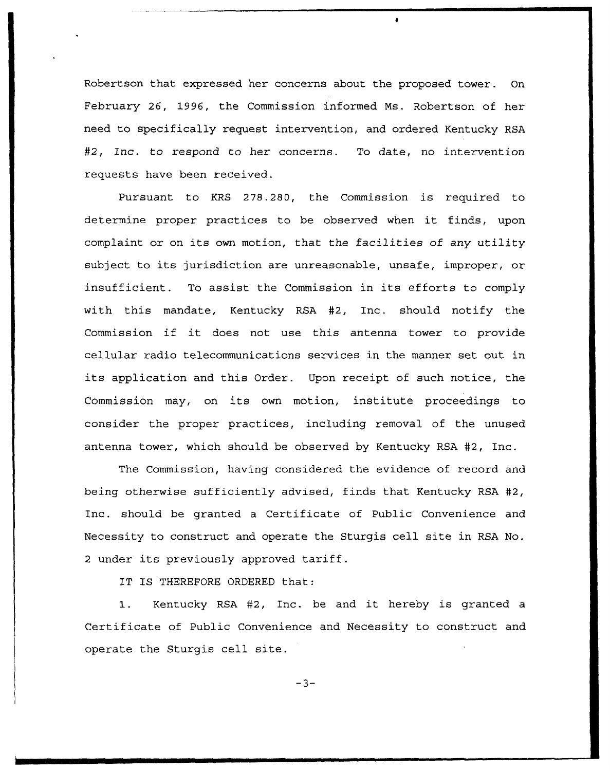Robertson that expressed her concerns about the proposed tower. On February 26, 1996, the Commission informed Ms. Robertson of her need to specifically request intervention, and ordered Kentucky RSA #2, Inc. to respond to her concerns. To date, no intervention requests have been received.

Pursuant to KRS 27S.280, the Commission is required to determine proper practices to be observed when it finds, upon complaint or on its own motion, that the facilities of any utility subject to its jurisdiction are unreasonable, unsafe, improper, or insufficient. To assist the Commission in its efforts to comply with this mandate, Kentucky RSA #2, Inc. should notify the Commission if it does not use this antenna tower to provide cellular radio telecommunications services in the manner set out in its application and this Order. Upon receipt of such notice, the Commission may, on its own motion, institute proceedings to consider the proper practices, including removal of the unused antenna tower, which should be observed by Kentucky RSA #2, Inc.

The Commission, having considered the evidence of record and being otherwise sufficiently advised, finds that Kentucky RSA #2, 1nc. should be granted a Certificate of Public Convenience and Necessity to construct and operate the Sturgis cell site in RSA No. <sup>2</sup> under its previously approved tariff.

IT IS THEREFORE ORDERED that:

1. Kentucky RSA 42, Inc. be and it hereby is granted <sup>a</sup> Certificate of Public Convenience and Necessity to construct and operate the Sturgis cell site.

 $-3-$